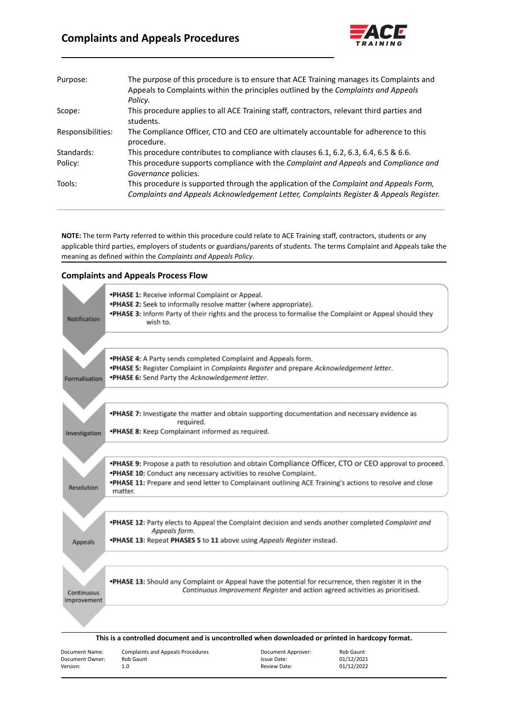# **Complaints and Appeals Procedures**



| Purpose:          | The purpose of this procedure is to ensure that ACE Training manages its Complaints and<br>Appeals to Complaints within the principles outlined by the Complaints and Appeals<br>Policy. |
|-------------------|------------------------------------------------------------------------------------------------------------------------------------------------------------------------------------------|
| Scope:            | This procedure applies to all ACE Training staff, contractors, relevant third parties and<br>students.                                                                                   |
| Responsibilities: | The Compliance Officer, CTO and CEO are ultimately accountable for adherence to this<br>procedure.                                                                                       |
| Standards:        | This procedure contributes to compliance with clauses 6.1, 6.2, 6.3, 6.4, 6.5 & 6.6.                                                                                                     |
| Policy:           | This procedure supports compliance with the Complaint and Appeals and Compliance and<br>Governance policies.                                                                             |
| Tools:            | This procedure is supported through the application of the Complaint and Appeals Form,                                                                                                   |
|                   | Complaints and Appeals Acknowledgement Letter, Complaints Register & Appeals Register.                                                                                                   |

**NOTE:** The term Party referred to within this procedure could relate to ACE Training staff, contractors, students or any applicable third parties, employers of students or guardians/parents of students. The terms Complaint and Appeals take the meaning as defined within the *Complaints and Appeals Policy*.

#### **Complaints and Appeals Process Flow**

| Notification                                  | *PHASE 1: Receive informal Complaint or Appeal.<br>*PHASE 2: Seek to informally resolve matter (where appropriate).<br>*PHASE 3: Inform Party of their rights and the process to formalise the Complaint or Appeal should they<br>wish to.                                                       |                                                                              |                                       |
|-----------------------------------------------|--------------------------------------------------------------------------------------------------------------------------------------------------------------------------------------------------------------------------------------------------------------------------------------------------|------------------------------------------------------------------------------|---------------------------------------|
| Formalisation                                 | *PHASE 4: A Party sends completed Complaint and Appeals form.<br>*PHASE 5: Register Complaint in Complaints Register and prepare Acknowledgement letter.<br>*PHASE 6: Send Party the Acknowledgement letter.                                                                                     |                                                                              |                                       |
| Investigation                                 | .PHASE 7: Investigate the matter and obtain supporting documentation and necessary evidence as<br>reguired.<br>*PHASE 8: Keep Complainant informed as required.                                                                                                                                  |                                                                              |                                       |
| Resolution                                    | .PHASE 9: Propose a path to resolution and obtain Compliance Officer, CTO or CEO approval to proceed.<br>.PHASE 10: Conduct any necessary activities to resolve Complaint.<br>.PHASE 11: Prepare and send letter to Complainant outlining ACE Training's actions to resolve and close<br>matter. |                                                                              |                                       |
| Appeals                                       | *PHASE 12: Party elects to Appeal the Complaint decision and sends another completed Complaint and<br>Appeals form.<br>*PHASE 13: Repeat PHASES 5 to 11 above using Appeals Register instead.                                                                                                    |                                                                              |                                       |
| Continuous<br>Improvement                     | .PHASE 13: Should any Complaint or Appeal have the potential for recurrence, then register it in the                                                                                                                                                                                             | Continuous Improvement Register and action agreed activities as prioritised. |                                       |
|                                               | This is a controlled document and is uncontrolled when downloaded or printed in hardcopy format.                                                                                                                                                                                                 |                                                                              |                                       |
| Document Name:<br>Document Owner:<br>Version: | <b>Complaints and Appeals Procedures</b><br>Rob Gaunt<br>1.0                                                                                                                                                                                                                                     | Document Approver:<br>Issue Date:<br>Review Date:                            | Rob Gaunt<br>01/12/2021<br>01/12/2022 |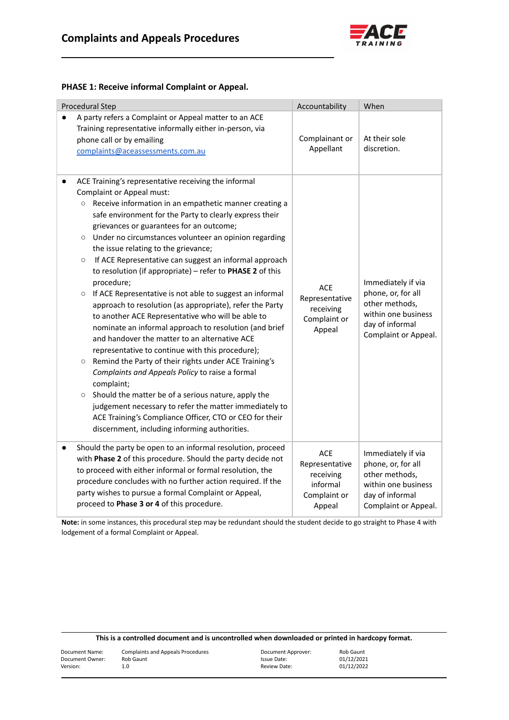

### **PHASE 1: Receive informal Complaint or Appeal.**

| <b>Procedural Step</b>                                                                                                                                                                                                                                                                                                                                                                                                                                                                                                                                                                                                                                                                                                                                                                                                                                                                                                                                                                                                                                                                                                                                                                                                                                          | Accountability                                                           | When                                                                                                                         |
|-----------------------------------------------------------------------------------------------------------------------------------------------------------------------------------------------------------------------------------------------------------------------------------------------------------------------------------------------------------------------------------------------------------------------------------------------------------------------------------------------------------------------------------------------------------------------------------------------------------------------------------------------------------------------------------------------------------------------------------------------------------------------------------------------------------------------------------------------------------------------------------------------------------------------------------------------------------------------------------------------------------------------------------------------------------------------------------------------------------------------------------------------------------------------------------------------------------------------------------------------------------------|--------------------------------------------------------------------------|------------------------------------------------------------------------------------------------------------------------------|
| A party refers a Complaint or Appeal matter to an ACE<br>Training representative informally either in-person, via<br>phone call or by emailing<br>complaints@aceassessments.com.au                                                                                                                                                                                                                                                                                                                                                                                                                                                                                                                                                                                                                                                                                                                                                                                                                                                                                                                                                                                                                                                                              | Complainant or<br>Appellant                                              | At their sole<br>discretion.                                                                                                 |
| ACE Training's representative receiving the informal<br>$\bullet$<br><b>Complaint or Appeal must:</b><br>○ Receive information in an empathetic manner creating a<br>safe environment for the Party to clearly express their<br>grievances or guarantees for an outcome;<br>O Under no circumstances volunteer an opinion regarding<br>the issue relating to the grievance;<br>If ACE Representative can suggest an informal approach<br>$\circ$<br>to resolution (if appropriate) - refer to PHASE 2 of this<br>procedure;<br>If ACE Representative is not able to suggest an informal<br>$\circ$<br>approach to resolution (as appropriate), refer the Party<br>to another ACE Representative who will be able to<br>nominate an informal approach to resolution (and brief<br>and handover the matter to an alternative ACE<br>representative to continue with this procedure);<br>Remind the Party of their rights under ACE Training's<br>$\circ$<br>Complaints and Appeals Policy to raise a formal<br>complaint;<br>Should the matter be of a serious nature, apply the<br>$\circ$<br>judgement necessary to refer the matter immediately to<br>ACE Training's Compliance Officer, CTO or CEO for their<br>discernment, including informing authorities. | <b>ACE</b><br>Representative<br>receiving<br>Complaint or<br>Appeal      | Immediately if via<br>phone, or, for all<br>other methods,<br>within one business<br>day of informal<br>Complaint or Appeal. |
| Should the party be open to an informal resolution, proceed<br>$\bullet$<br>with Phase 2 of this procedure. Should the party decide not<br>to proceed with either informal or formal resolution, the<br>procedure concludes with no further action required. If the<br>party wishes to pursue a formal Complaint or Appeal,<br>proceed to Phase 3 or 4 of this procedure.                                                                                                                                                                                                                                                                                                                                                                                                                                                                                                                                                                                                                                                                                                                                                                                                                                                                                       | ACE<br>Representative<br>receiving<br>informal<br>Complaint or<br>Appeal | Immediately if via<br>phone, or, for all<br>other methods,<br>within one business<br>day of informal<br>Complaint or Appeal. |

**Note:** in some instances, this procedural step may be redundant should the student decide to go straight to Phase 4 with lodgement of a formal Complaint or Appeal.

| This is a controlled document and is uncontrolled when downloaded or printed in hardcopy format. |  |
|--------------------------------------------------------------------------------------------------|--|
|--------------------------------------------------------------------------------------------------|--|

| Document Name:  | Complaints and Appeals Procedures | Document Approver: | Rob Gaunt  |
|-----------------|-----------------------------------|--------------------|------------|
| Document Owner: | Rob Gaunt                         | Issue Date:        | 01/12/2021 |
| Version:        | 1.0                               | Review Date:       | 01/12/2022 |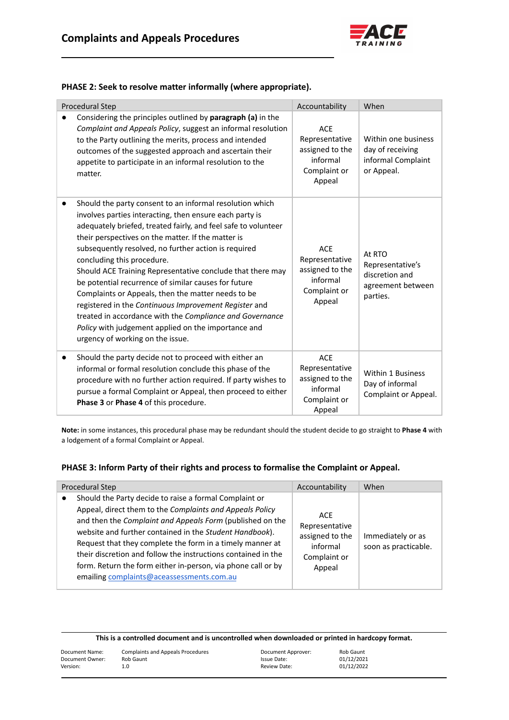

### **PHASE 2: Seek to resolve matter informally (where appropriate).**

| Procedural Step                                                                                                                                                                                                                                                                                                                                                                                                                                                                                                                                                                                                                                                                                                               | Accountability                                                                        | When                                                                          |
|-------------------------------------------------------------------------------------------------------------------------------------------------------------------------------------------------------------------------------------------------------------------------------------------------------------------------------------------------------------------------------------------------------------------------------------------------------------------------------------------------------------------------------------------------------------------------------------------------------------------------------------------------------------------------------------------------------------------------------|---------------------------------------------------------------------------------------|-------------------------------------------------------------------------------|
| Considering the principles outlined by paragraph (a) in the<br>Complaint and Appeals Policy, suggest an informal resolution<br>to the Party outlining the merits, process and intended<br>outcomes of the suggested approach and ascertain their<br>appetite to participate in an informal resolution to the<br>matter.                                                                                                                                                                                                                                                                                                                                                                                                       | <b>ACE</b><br>Representative<br>assigned to the<br>informal<br>Complaint or<br>Appeal | Within one business<br>day of receiving<br>informal Complaint<br>or Appeal.   |
| Should the party consent to an informal resolution which<br>involves parties interacting, then ensure each party is<br>adequately briefed, treated fairly, and feel safe to volunteer<br>their perspectives on the matter. If the matter is<br>subsequently resolved, no further action is required<br>concluding this procedure.<br>Should ACE Training Representative conclude that there may<br>be potential recurrence of similar causes for future<br>Complaints or Appeals, then the matter needs to be<br>registered in the Continuous Improvement Register and<br>treated in accordance with the Compliance and Governance<br>Policy with judgement applied on the importance and<br>urgency of working on the issue. | <b>ACE</b><br>Representative<br>assigned to the<br>informal<br>Complaint or<br>Appeal | At RTO<br>Representative's<br>discretion and<br>agreement between<br>parties. |
| Should the party decide not to proceed with either an<br>$\bullet$<br>informal or formal resolution conclude this phase of the<br>procedure with no further action required. If party wishes to<br>pursue a formal Complaint or Appeal, then proceed to either<br>Phase 3 or Phase 4 of this procedure.                                                                                                                                                                                                                                                                                                                                                                                                                       | <b>ACE</b><br>Representative<br>assigned to the<br>informal<br>Complaint or<br>Appeal | <b>Within 1 Business</b><br>Day of informal<br>Complaint or Appeal.           |

**Note:** in some instances, this procedural phase may be redundant should the student decide to go straight to **Phase 4** with a lodgement of a formal Complaint or Appeal.

#### **PHASE 3: Inform Party of their rights and process to formalise the Complaint or Appeal.**

| Procedural Step                                                                                                                                                                                                                                                                                                                                                                                                                                                                       | Accountability                                                                 | When                                      |
|---------------------------------------------------------------------------------------------------------------------------------------------------------------------------------------------------------------------------------------------------------------------------------------------------------------------------------------------------------------------------------------------------------------------------------------------------------------------------------------|--------------------------------------------------------------------------------|-------------------------------------------|
| Should the Party decide to raise a formal Complaint or<br>Appeal, direct them to the Complaints and Appeals Policy<br>and then the Complaint and Appeals Form (published on the<br>website and further contained in the Student Handbook).<br>Request that they complete the form in a timely manner at<br>their discretion and follow the instructions contained in the<br>form. Return the form either in-person, via phone call or by<br>emailing complaints@aceassessments.com.au | ACE<br>Representative<br>assigned to the<br>informal<br>Complaint or<br>Appeal | Immediately or as<br>soon as practicable. |

| Document Name:  | <b>Complaints and Appeals Procedures</b> | Document Approver: | Rob Gaunt  |
|-----------------|------------------------------------------|--------------------|------------|
| Document Owner: | Rob Gaunt                                | Issue Date:        | 01/12/2021 |
| Version:        | 1.0                                      | Review Date:       | 01/12/2022 |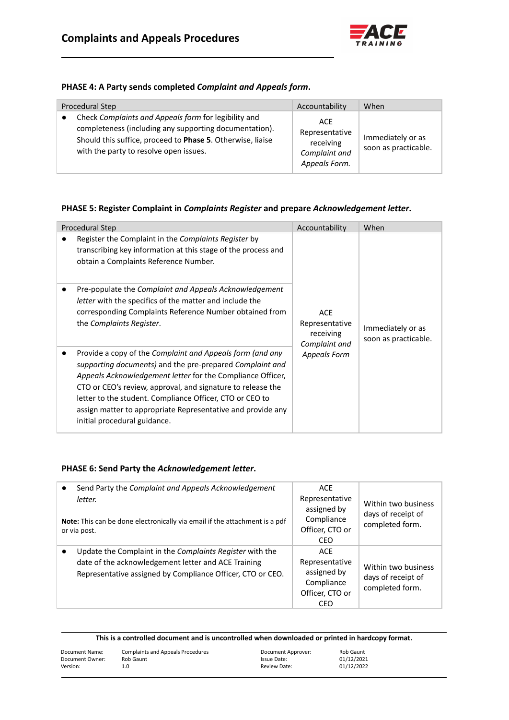

### **PHASE 4: A Party sends completed** *Complaint and Appeals form***.**

| Procedural Step                                                                                                                                                                                                        | Accountability                                                       | When                                      |
|------------------------------------------------------------------------------------------------------------------------------------------------------------------------------------------------------------------------|----------------------------------------------------------------------|-------------------------------------------|
| Check Complaints and Appeals form for legibility and<br>completeness (including any supporting documentation).<br>Should this suffice, proceed to Phase 5. Otherwise, liaise<br>with the party to resolve open issues. | ACE<br>Representative<br>receiving<br>Complaint and<br>Appeals Form. | Immediately or as<br>soon as practicable. |

### **PHASE 5: Register Complaint in** *Complaints Register* **and prepare** *Acknowledgement letter***.**

| <b>Procedural Step</b>                                                                                                                                                                                                                                                                                                                                                                                        | Accountability                                             | When                                      |
|---------------------------------------------------------------------------------------------------------------------------------------------------------------------------------------------------------------------------------------------------------------------------------------------------------------------------------------------------------------------------------------------------------------|------------------------------------------------------------|-------------------------------------------|
| Register the Complaint in the Complaints Register by<br>transcribing key information at this stage of the process and<br>obtain a Complaints Reference Number.                                                                                                                                                                                                                                                |                                                            |                                           |
| Pre-populate the Complaint and Appeals Acknowledgement<br>letter with the specifics of the matter and include the<br>corresponding Complaints Reference Number obtained from<br>the Complaints Register.                                                                                                                                                                                                      | <b>ACE</b><br>Representative<br>receiving<br>Complaint and | Immediately or as<br>soon as practicable. |
| Provide a copy of the Complaint and Appeals form (and any<br>supporting documents) and the pre-prepared Complaint and<br>Appeals Acknowledgement letter for the Compliance Officer,<br>CTO or CEO's review, approval, and signature to release the<br>letter to the student. Compliance Officer, CTO or CEO to<br>assign matter to appropriate Representative and provide any<br>initial procedural guidance. | <b>Appeals Form</b>                                        |                                           |

#### **PHASE 6: Send Party the** *Acknowledgement letter***.**

| Send Party the Complaint and Appeals Acknowledgement<br>letter.<br>Note: This can be done electronically via email if the attachment is a pdf<br>or via post.                 | <b>ACE</b><br>Representative<br>assigned by<br>Compliance<br>Officer, CTO or<br>CEO | Within two business<br>days of receipt of<br>completed form. |
|-------------------------------------------------------------------------------------------------------------------------------------------------------------------------------|-------------------------------------------------------------------------------------|--------------------------------------------------------------|
| Update the Complaint in the Complaints Register with the<br>date of the acknowledgement letter and ACE Training<br>Representative assigned by Compliance Officer, CTO or CEO. | <b>ACE</b><br>Representative<br>assigned by<br>Compliance<br>Officer, CTO or<br>CEO | Within two business<br>days of receipt of<br>completed form. |

| Document Name:  | <b>Complaints and Appeals Procedures</b> | Document Approver: | Rob Gaunt  |
|-----------------|------------------------------------------|--------------------|------------|
| Document Owner: | Rob Gaunt                                | Issue Date:        | 01/12/2021 |
| Version:        | 1.0                                      | Review Date:       | 01/12/2022 |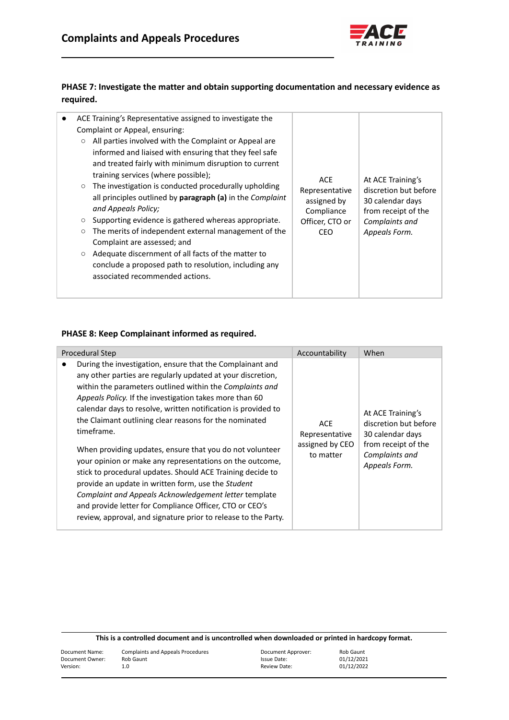

# **PHASE 7: Investigate the matter and obtain supporting documentation and necessary evidence as required.**

| ACE Training's Representative assigned to investigate the<br>Complaint or Appeal, ensuring:                                                                                                                                                                                                                                                                                                                                                                                                                                                                                                                                                                                                                          |                                                                                      |                                                                                                                          |
|----------------------------------------------------------------------------------------------------------------------------------------------------------------------------------------------------------------------------------------------------------------------------------------------------------------------------------------------------------------------------------------------------------------------------------------------------------------------------------------------------------------------------------------------------------------------------------------------------------------------------------------------------------------------------------------------------------------------|--------------------------------------------------------------------------------------|--------------------------------------------------------------------------------------------------------------------------|
| All parties involved with the Complaint or Appeal are<br>$\circ$<br>informed and liaised with ensuring that they feel safe<br>and treated fairly with minimum disruption to current<br>training services (where possible);<br>The investigation is conducted procedurally upholding<br>$\circ$<br>all principles outlined by paragraph (a) in the Complaint<br>and Appeals Policy;<br>Supporting evidence is gathered whereas appropriate.<br>$\circ$<br>The merits of independent external management of the<br>$\circ$<br>Complaint are assessed; and<br>Adequate discernment of all facts of the matter to<br>$\circ$<br>conclude a proposed path to resolution, including any<br>associated recommended actions. | <b>ACE</b><br>Representative<br>assigned by<br>Compliance<br>Officer, CTO or<br>CEO. | At ACE Training's<br>discretion but before<br>30 calendar days<br>from receipt of the<br>Complaints and<br>Appeals Form. |

### **PHASE 8: Keep Complainant informed as required.**

| Procedural Step                                                                                                                                                                                                                                                                                                                                                                                                                                                                                                                                                                                                                                                                                                                                                                                                            | Accountability                                               | When                                                                                                                     |
|----------------------------------------------------------------------------------------------------------------------------------------------------------------------------------------------------------------------------------------------------------------------------------------------------------------------------------------------------------------------------------------------------------------------------------------------------------------------------------------------------------------------------------------------------------------------------------------------------------------------------------------------------------------------------------------------------------------------------------------------------------------------------------------------------------------------------|--------------------------------------------------------------|--------------------------------------------------------------------------------------------------------------------------|
| During the investigation, ensure that the Complainant and<br>any other parties are regularly updated at your discretion,<br>within the parameters outlined within the Complaints and<br>Appeals Policy. If the investigation takes more than 60<br>calendar days to resolve, written notification is provided to<br>the Claimant outlining clear reasons for the nominated<br>timeframe.<br>When providing updates, ensure that you do not volunteer<br>your opinion or make any representations on the outcome,<br>stick to procedural updates. Should ACE Training decide to<br>provide an update in written form, use the Student<br>Complaint and Appeals Acknowledgement letter template<br>and provide letter for Compliance Officer, CTO or CEO's<br>review, approval, and signature prior to release to the Party. | <b>ACE</b><br>Representative<br>assigned by CEO<br>to matter | At ACE Training's<br>discretion but before<br>30 calendar days<br>from receipt of the<br>Complaints and<br>Appeals Form. |

| Document Name:  | <b>Complaints and Appeals Procedures</b> | Document Approver: | Rob Gaunt  |
|-----------------|------------------------------------------|--------------------|------------|
| Document Owner: | Rob Gaunt                                | Issue Date:        | 01/12/2021 |
| Version:        | 1.0                                      | Review Date:       | 01/12/2022 |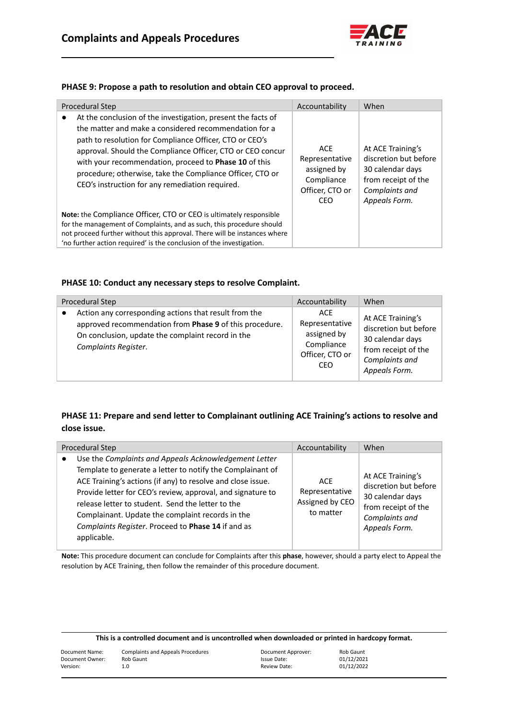

### **PHASE 9: Propose a path to resolution and obtain CEO approval to proceed.**

| Procedural Step                                                                                                                                                                                                                                                                                                                                                                                                                      | Accountability                                                               | When                                                                                                                     |
|--------------------------------------------------------------------------------------------------------------------------------------------------------------------------------------------------------------------------------------------------------------------------------------------------------------------------------------------------------------------------------------------------------------------------------------|------------------------------------------------------------------------------|--------------------------------------------------------------------------------------------------------------------------|
| At the conclusion of the investigation, present the facts of<br>$\bullet$<br>the matter and make a considered recommendation for a<br>path to resolution for Compliance Officer, CTO or CEO's<br>approval. Should the Compliance Officer, CTO or CEO concur<br>with your recommendation, proceed to Phase 10 of this<br>procedure; otherwise, take the Compliance Officer, CTO or<br>CEO's instruction for any remediation required. | ACE<br>Representative<br>assigned by<br>Compliance<br>Officer, CTO or<br>CEO | At ACE Training's<br>discretion but before<br>30 calendar days<br>from receipt of the<br>Complaints and<br>Appeals Form. |
| Note: the Compliance Officer, CTO or CEO is ultimately responsible<br>for the management of Complaints, and as such, this procedure should<br>not proceed further without this approval. There will be instances where<br>'no further action required' is the conclusion of the investigation.                                                                                                                                       |                                                                              |                                                                                                                          |

#### **PHASE 10: Conduct any necessary steps to resolve Complaint.**

| Procedural Step                                                                                                                                                                               | Accountability                                                                      | When                                                                                                                     |
|-----------------------------------------------------------------------------------------------------------------------------------------------------------------------------------------------|-------------------------------------------------------------------------------------|--------------------------------------------------------------------------------------------------------------------------|
| Action any corresponding actions that result from the<br>approved recommendation from Phase 9 of this procedure.<br>On conclusion, update the complaint record in the<br>Complaints Register. | <b>ACE</b><br>Representative<br>assigned by<br>Compliance<br>Officer, CTO or<br>CEO | At ACE Training's<br>discretion but before<br>30 calendar days<br>from receipt of the<br>Complaints and<br>Appeals Form. |

# **PHASE 11: Prepare and send letter to Complainant outlining ACE Training's actions to resolve and close issue.**

| Procedural Step                                                                                                                                                                                                                                                                                                                                                                                                                 | Accountability                                        | When                                                                                                                     |
|---------------------------------------------------------------------------------------------------------------------------------------------------------------------------------------------------------------------------------------------------------------------------------------------------------------------------------------------------------------------------------------------------------------------------------|-------------------------------------------------------|--------------------------------------------------------------------------------------------------------------------------|
| Use the Complaints and Appeals Acknowledgement Letter<br>Template to generate a letter to notify the Complainant of<br>ACE Training's actions (if any) to resolve and close issue.<br>Provide letter for CEO's review, approval, and signature to<br>release letter to student. Send the letter to the<br>Complainant. Update the complaint records in the<br>Complaints Register. Proceed to Phase 14 if and as<br>applicable. | ACE<br>Representative<br>Assigned by CEO<br>to matter | At ACE Training's<br>discretion but before<br>30 calendar days<br>from receipt of the<br>Complaints and<br>Appeals Form. |

**Note:** This procedure document can conclude for Complaints after this **phase**, however, should a party elect to Appeal the resolution by ACE Training, then follow the remainder of this procedure document.

| This is a controlled document and is uncontrolled when downloaded or printed in hardcopy format. |                                          |                    |            |
|--------------------------------------------------------------------------------------------------|------------------------------------------|--------------------|------------|
| Document Name:                                                                                   | <b>Complaints and Appeals Procedures</b> | Document Approver: | Rob Gaunt  |
| Document Owner:                                                                                  | Rob Gaunt                                | Issue Date:        | 01/12/2021 |
| Version:                                                                                         | 1.0                                      | Review Date:       | 01/12/2022 |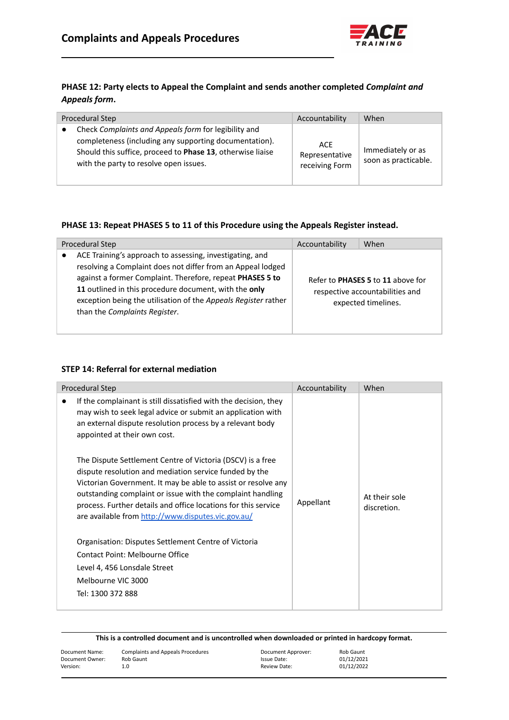

# **PHASE 12: Party elects to Appeal the Complaint and sends another completed** *Complaint and Appeals form***.**

| Procedural Step                                                                                                                                                                                                        | Accountability                          | When                                      |
|------------------------------------------------------------------------------------------------------------------------------------------------------------------------------------------------------------------------|-----------------------------------------|-------------------------------------------|
| Check Complaints and Appeals form for legibility and<br>completeness (including any supporting documentation).<br>Should this suffice, proceed to Phase 13, otherwise liaise<br>with the party to resolve open issues. | ACE<br>Representative<br>receiving Form | Immediately or as<br>soon as practicable. |

# **PHASE 13: Repeat PHASES 5 to 11 of this Procedure using the Appeals Register instead.**

| Procedural Step                                                                                                                                                                                                                                                                                                                                  | Accountability | When                                                                                        |
|--------------------------------------------------------------------------------------------------------------------------------------------------------------------------------------------------------------------------------------------------------------------------------------------------------------------------------------------------|----------------|---------------------------------------------------------------------------------------------|
| ACE Training's approach to assessing, investigating, and<br>resolving a Complaint does not differ from an Appeal lodged<br>against a former Complaint. Therefore, repeat PHASES 5 to<br>11 outlined in this procedure document, with the only<br>exception being the utilisation of the Appeals Register rather<br>than the Complaints Register. |                | Refer to PHASES 5 to 11 above for<br>respective accountabilities and<br>expected timelines. |

#### **STEP 14: Referral for external mediation**

| Procedural Step                                                                                                                                                                                                                                                                                                                                                                                                                                                                                                                                       | Accountability | When          |
|-------------------------------------------------------------------------------------------------------------------------------------------------------------------------------------------------------------------------------------------------------------------------------------------------------------------------------------------------------------------------------------------------------------------------------------------------------------------------------------------------------------------------------------------------------|----------------|---------------|
| If the complainant is still dissatisfied with the decision, they<br>may wish to seek legal advice or submit an application with<br>an external dispute resolution process by a relevant body<br>appointed at their own cost.<br>The Dispute Settlement Centre of Victoria (DSCV) is a free<br>dispute resolution and mediation service funded by the<br>Victorian Government. It may be able to assist or resolve any<br>outstanding complaint or issue with the complaint handling<br>process. Further details and office locations for this service | Appellant      | At their sole |
| are available from http://www.disputes.vic.gov.au/                                                                                                                                                                                                                                                                                                                                                                                                                                                                                                    |                | discretion.   |
| Organisation: Disputes Settlement Centre of Victoria                                                                                                                                                                                                                                                                                                                                                                                                                                                                                                  |                |               |
| Contact Point: Melbourne Office                                                                                                                                                                                                                                                                                                                                                                                                                                                                                                                       |                |               |
| Level 4, 456 Lonsdale Street                                                                                                                                                                                                                                                                                                                                                                                                                                                                                                                          |                |               |
| Melbourne VIC 3000                                                                                                                                                                                                                                                                                                                                                                                                                                                                                                                                    |                |               |
| Tel: 1300 372 888                                                                                                                                                                                                                                                                                                                                                                                                                                                                                                                                     |                |               |
|                                                                                                                                                                                                                                                                                                                                                                                                                                                                                                                                                       |                |               |

| Document Name:  | <b>Complaints and Appeals Procedures</b> | Document Approver: | Rob Gaunt  |
|-----------------|------------------------------------------|--------------------|------------|
| Document Owner: | Rob Gaunt                                | Issue Date:        | 01/12/2021 |
| Version:        | 1.0                                      | Review Date:       | 01/12/2022 |